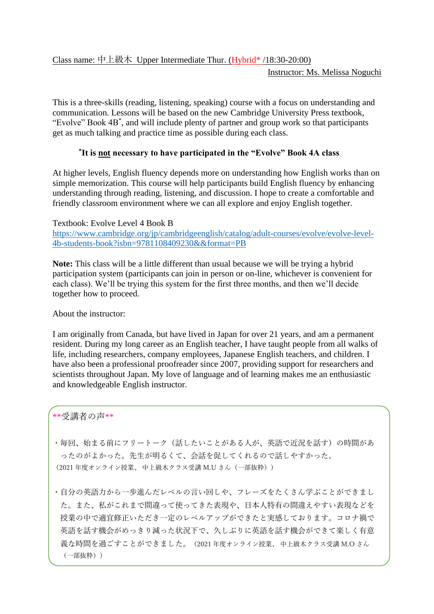Instructor: Ms. Melissa Noguchi

This is a three-skills (reading, listening, speaking) course with a focus on understanding and communication. Lessons will be based on the new Cambridge University Press textbook, "Evolve" Book 4B\* , and will include plenty of partner and group work so that participants get as much talking and practice time as possible during each class.

## **\* It is not necessary to have participated in the "Evolve" Book 4A class**

At higher levels, English fluency depends more on understanding how English works than on simple memorization. This course will help participants build English fluency by enhancing understanding through reading, listening, and discussion. I hope to create a comfortable and friendly classroom environment where we can all explore and enjoy English together.

Textbook: Evolve Level 4 Book B [https://www.cambridge.org/jp/cambridgeenglish/catalog/adult-courses/evolve/evolve-level-](https://www.cambridge.org/jp/cambridgeenglish/catalog/adult-courses/evolve/evolve-level-4b-students-book?isbn=9781108409230&&format=PB)[4b-students-book?isbn=9781108409230&&format=PB](https://www.cambridge.org/jp/cambridgeenglish/catalog/adult-courses/evolve/evolve-level-4b-students-book?isbn=9781108409230&&format=PB)

**Note:** This class will be a little different than usual because we will be trying a hybrid participation system (participants can join in person or on-line, whichever is convenient for each class). We'll be trying this system for the first three months, and then we'll decide together how to proceed.

About the instructor:

I am originally from Canada, but have lived in Japan for over 21 years, and am a permanent resident. During my long career as an English teacher, I have taught people from all walks of life, including researchers, company employees, Japanese English teachers, and children. I have also been a professional proofreader since 2007, providing support for researchers and scientists throughout Japan. My love of language and of learning makes me an enthusiastic and knowledgeable English instructor.

\*\*受講者の声\*\*

・毎回、始まる前にフリートーク(話したいことがある人が、英語で近況を話す)の時間があ ったのがよかった。先生が明るくて、会話を促してくれるので話しやすかった。 (2021 年度オンライン授業、 中上級木クラス受講 M.U さん(一部抜粋))

・自分の英語力から一歩進んだレベルの言い回しや、フレーズをたくさん学ぶことができまし た。また、私がこれまで間違って使ってきた表現や、日本人特有の間違えやすい表現などを 授業の中で適宜修正いただき一定のレベルアップができたと実感しております。コロナ禍で 英語を話す機会がめっきり減った状況下で、久しぶりに英語を話す機会ができて楽しく有意 義な時間を過ごすことができました。(2021 年度オンライン授業、 中上級木クラス受講 M.O さん (一部抜粋))